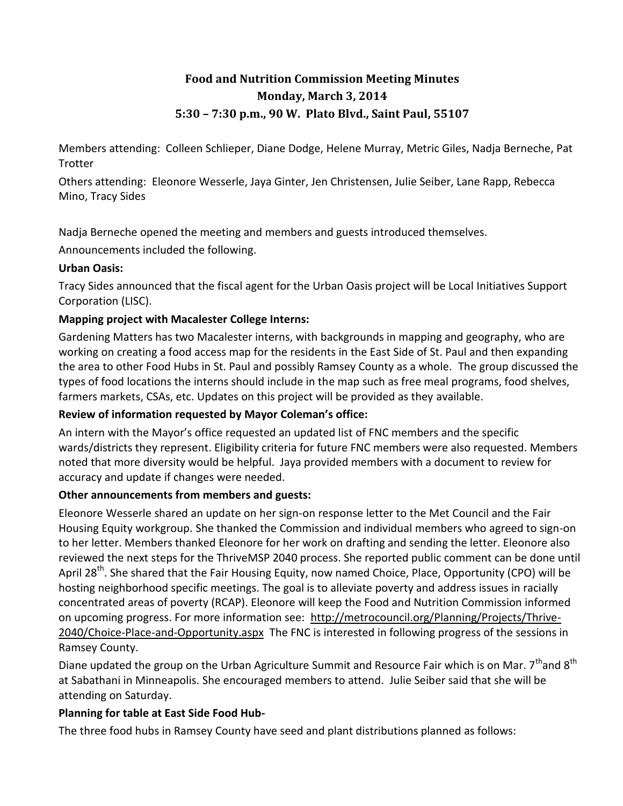# **Food and Nutrition Commission Meeting Minutes Monday, March 3, 2014 5:30 – 7:30 p.m., 90 W. Plato Blvd., Saint Paul, 55107**

Members attending: Colleen Schlieper, Diane Dodge, Helene Murray, Metric Giles, Nadja Berneche, Pat **Trotter** 

Others attending: Eleonore Wesserle, Jaya Ginter, Jen Christensen, Julie Seiber, Lane Rapp, Rebecca Mino, Tracy Sides

Nadja Berneche opened the meeting and members and guests introduced themselves.

Announcements included the following.

#### **Urban Oasis:**

Tracy Sides announced that the fiscal agent for the Urban Oasis project will be Local Initiatives Support Corporation (LISC).

## **Mapping project with Macalester College Interns:**

Gardening Matters has two Macalester interns, with backgrounds in mapping and geography, who are working on creating a food access map for the residents in the East Side of St. Paul and then expanding the area to other Food Hubs in St. Paul and possibly Ramsey County as a whole. The group discussed the types of food locations the interns should include in the map such as free meal programs, food shelves, farmers markets, CSAs, etc. Updates on this project will be provided as they available.

## **Review of information requested by Mayor Coleman's office:**

An intern with the Mayor's office requested an updated list of FNC members and the specific wards/districts they represent. Eligibility criteria for future FNC members were also requested. Members noted that more diversity would be helpful. Jaya provided members with a document to review for accuracy and update if changes were needed.

#### **Other announcements from members and guests:**

Eleonore Wesserle shared an update on her sign-on response letter to the Met Council and the Fair Housing Equity workgroup. She thanked the Commission and individual members who agreed to sign-on to her letter. Members thanked Eleonore for her work on drafting and sending the letter. Eleonore also reviewed the next steps for the ThriveMSP 2040 process. She reported public comment can be done until April 28<sup>th</sup>. She shared that the Fair Housing Equity, now named Choice, Place, Opportunity (CPO) will be hosting neighborhood specific meetings. The goal is to alleviate poverty and address issues in racially concentrated areas of poverty (RCAP). Eleonore will keep the Food and Nutrition Commission informed on upcoming progress. For more information see: [http://metrocouncil.org/Planning/Projects/Thrive-](http://metrocouncil.org/Planning/Projects/Thrive-2040/Choice-Place-and-Opportunity.aspx)[2040/Choice-Place-and-Opportunity.aspx](http://metrocouncil.org/Planning/Projects/Thrive-2040/Choice-Place-and-Opportunity.aspx) The FNC is interested in following progress of the sessions in Ramsey County.

Diane updated the group on the Urban Agriculture Summit and Resource Fair which is on Mar.  $7^{th}$ and  $8^{th}$ at Sabathani in Minneapolis. She encouraged members to attend. Julie Seiber said that she will be attending on Saturday.

## **Planning for table at East Side Food Hub-**

The three food hubs in Ramsey County have seed and plant distributions planned as follows: